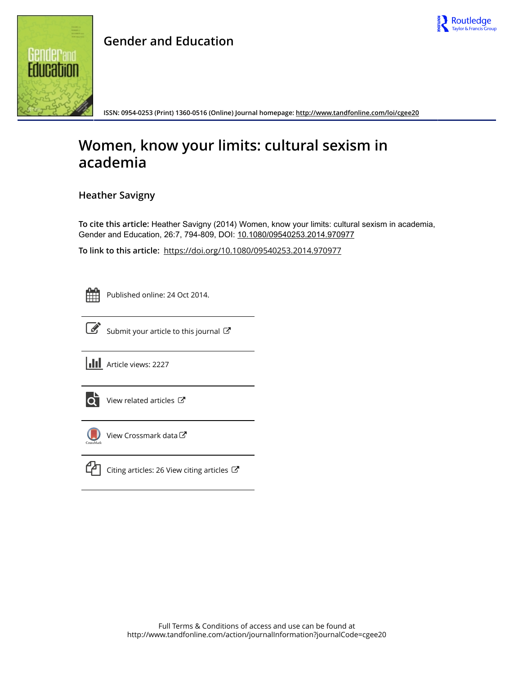

Gender and Education

ISSN: 0954-0253 (Print) 1360-0516 (Online) Journal homepage:<http://www.tandfonline.com/loi/cgee20>

# Women, know your limits: cultural sexism in academia

Heather Savigny

To cite this article: Heather Savigny (2014) Women, know your limits: cultural sexism in academia, Gender and Education, 26:7, 794-809, DOI: [10.1080/09540253.2014.970977](http://www.tandfonline.com/action/showCitFormats?doi=10.1080/09540253.2014.970977)

To link to this article: <https://doi.org/10.1080/09540253.2014.970977>



Published online: 24 Oct 2014.



 $\overrightarrow{S}$  [Submit your article to this journal](http://www.tandfonline.com/action/authorSubmission?journalCode=cgee20&show=instructions)  $\overrightarrow{S}$ 





 $\overrightarrow{Q}$  [View related articles](http://www.tandfonline.com/doi/mlt/10.1080/09540253.2014.970977)  $\overrightarrow{C}$ 



[View Crossmark data](http://crossmark.crossref.org/dialog/?doi=10.1080/09540253.2014.970977&domain=pdf&date_stamp=2014-10-24)  $\mathbb{Z}$ 



 $\mathbb{C}$  [Citing articles: 26 View citing articles](http://www.tandfonline.com/doi/citedby/10.1080/09540253.2014.970977#tabModule)  $\mathbb{C}$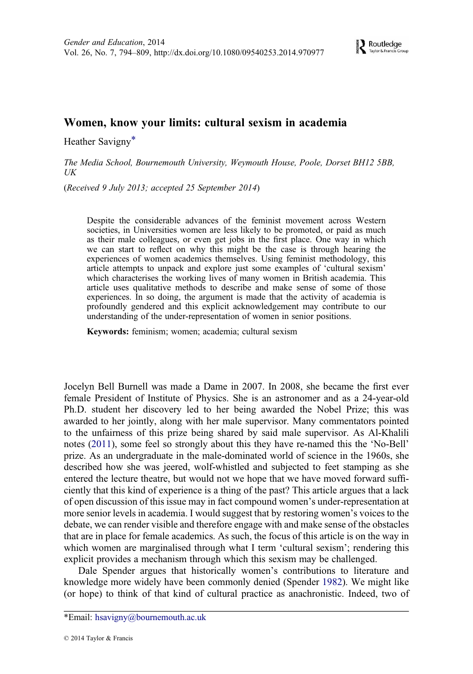# Women, know your limits: cultural sexism in academia

Heather Savigny\*

The Media School, Bournemouth University, Weymouth House, Poole, Dorset BH12 5BB, UK

(Received 9 July 2013; accepted 25 September 2014)

Despite the considerable advances of the feminist movement across Western societies, in Universities women are less likely to be promoted, or paid as much as their male colleagues, or even get jobs in the first place. One way in which we can start to reflect on why this might be the case is through hearing the experiences of women academics themselves. Using feminist methodology, this article attempts to unpack and explore just some examples of 'cultural sexism' which characterises the working lives of many women in British academia. This article uses qualitative methods to describe and make sense of some of those experiences. In so doing, the argument is made that the activity of academia is profoundly gendered and this explicit acknowledgement may contribute to our understanding of the under-representation of women in senior positions.

Keywords: feminism; women; academia; cultural sexism

Jocelyn Bell Burnell was made a Dame in 2007. In 2008, she became the first ever female President of Institute of Physics. She is an astronomer and as a 24-year-old Ph.D. student her discovery led to her being awarded the Nobel Prize; this was awarded to her jointly, along with her male supervisor. Many commentators pointed to the unfairness of this prize being shared by said male supervisor. As Al-Khalili notes [\(2011](#page-14-0)), some feel so strongly about this they have re-named this the 'No-Bell' prize. As an undergraduate in the male-dominated world of science in the 1960s, she described how she was jeered, wolf-whistled and subjected to feet stamping as she entered the lecture theatre, but would not we hope that we have moved forward sufficiently that this kind of experience is a thing of the past? This article argues that a lack of open discussion of this issue may in fact compound women's under-representation at more senior levels in academia. I would suggest that by restoring women's voices to the debate, we can render visible and therefore engage with and make sense of the obstacles that are in place for female academics. As such, the focus of this article is on the way in which women are marginalised through what I term 'cultural sexism'; rendering this explicit provides a mechanism through which this sexism may be challenged.

Dale Spender argues that historically women's contributions to literature and knowledge more widely have been commonly denied (Spender [1982](#page-16-0)). We might like (or hope) to think of that kind of cultural practice as anachronistic. Indeed, two of

<sup>\*</sup>Email: [hsavigny@bournemouth.ac.uk](mailto:hsavigny@bournemouth.ac.uk)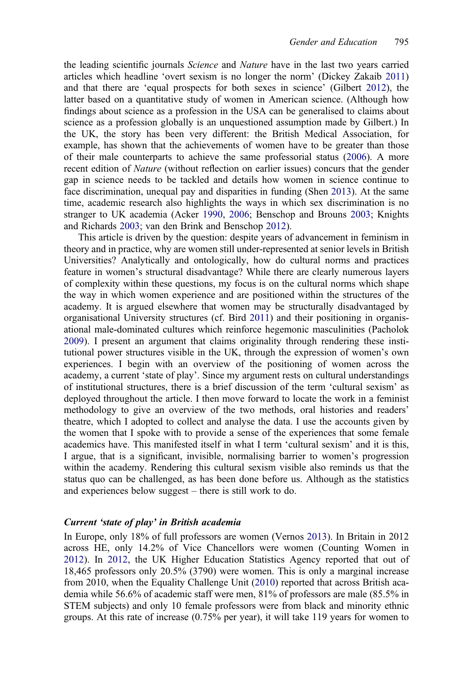the leading scientific journals Science and Nature have in the last two years carried articles which headline 'overt sexism is no longer the norm' (Dickey Zakaib [2011](#page-14-0)) and that there are 'equal prospects for both sexes in science' (Gilbert [2012](#page-15-0)), the latter based on a quantitative study of women in American science. (Although how findings about science as a profession in the USA can be generalised to claims about science as a profession globally is an unquestioned assumption made by Gilbert.) In the UK, the story has been very different: the British Medical Association, for example, has shown that the achievements of women have to be greater than those of their male counterparts to achieve the same professorial status ([2006](#page-14-0)). A more recent edition of *Nature* (without reflection on earlier issues) concurs that the gender gap in science needs to be tackled and details how women in science continue to face discrimination, unequal pay and disparities in funding (Shen [2013\)](#page-16-0). At the same time, academic research also highlights the ways in which sex discrimination is no stranger to UK academia (Acker [1990](#page-14-0), [2006](#page-14-0); Benschop and Brouns [2003;](#page-14-0) Knights and Richards [2003;](#page-15-0) van den Brink and Benschop [2012\)](#page-14-0).

This article is driven by the question: despite years of advancement in feminism in theory and in practice, why are women still under-represented at senior levels in British Universities? Analytically and ontologically, how do cultural norms and practices feature in women's structural disadvantage? While there are clearly numerous layers of complexity within these questions, my focus is on the cultural norms which shape the way in which women experience and are positioned within the structures of the academy. It is argued elsewhere that women may be structurally disadvantaged by organisational University structures (cf. Bird [2011\)](#page-14-0) and their positioning in organisational male-dominated cultures which reinforce hegemonic masculinities (Pacholok [2009\)](#page-15-0). I present an argument that claims originality through rendering these institutional power structures visible in the UK, through the expression of women's own experiences. I begin with an overview of the positioning of women across the academy, a current 'state of play'. Since my argument rests on cultural understandings of institutional structures, there is a brief discussion of the term 'cultural sexism' as deployed throughout the article. I then move forward to locate the work in a feminist methodology to give an overview of the two methods, oral histories and readers' theatre, which I adopted to collect and analyse the data. I use the accounts given by the women that I spoke with to provide a sense of the experiences that some female academics have. This manifested itself in what I term 'cultural sexism' and it is this, I argue, that is a significant, invisible, normalising barrier to women's progression within the academy. Rendering this cultural sexism visible also reminds us that the status quo can be challenged, as has been done before us. Although as the statistics and experiences below suggest – there is still work to do.

# Current 'state of play' in British academia

In Europe, only 18% of full professors are women (Vernos [2013](#page-16-0)). In Britain in 2012 across HE, only 14.2% of Vice Chancellors were women (Counting Women in [2012\)](#page-14-0). In [2012](#page-15-0), the UK Higher Education Statistics Agency reported that out of 18,465 professors only 20.5% (3790) were women. This is only a marginal increase from 2010, when the Equality Challenge Unit ([2010\)](#page-15-0) reported that across British academia while 56.6% of academic staff were men, 81% of professors are male (85.5% in STEM subjects) and only 10 female professors were from black and minority ethnic groups. At this rate of increase (0.75% per year), it will take 119 years for women to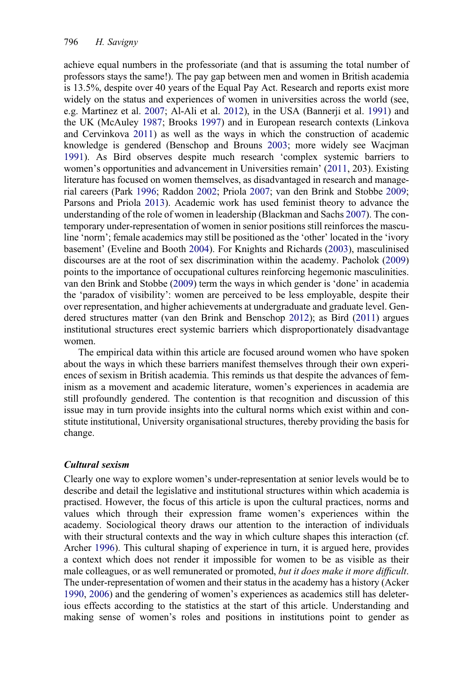achieve equal numbers in the professoriate (and that is assuming the total number of professors stays the same!). The pay gap between men and women in British academia is 13.5%, despite over 40 years of the Equal Pay Act. Research and reports exist more widely on the status and experiences of women in universities across the world (see, e.g. Martinez et al. [2007;](#page-15-0) Al-Ali et al. [2012](#page-14-0)), in the USA (Bannerji et al. [1991\)](#page-14-0) and the UK (McAuley [1987](#page-15-0); Brooks [1997\)](#page-14-0) and in European research contexts (Linkova and Cervinkova [2011](#page-15-0)) as well as the ways in which the construction of academic knowledge is gendered (Benschop and Brouns [2003;](#page-14-0) more widely see Wacjman [1991\)](#page-16-0). As Bird observes despite much research 'complex systemic barriers to women's opportunities and advancement in Universities remain' [\(2011](#page-14-0), 203). Existing literature has focused on women themselves, as disadvantaged in research and managerial careers (Park [1996](#page-15-0); Raddon [2002](#page-16-0); Priola [2007;](#page-16-0) van den Brink and Stobbe [2009;](#page-14-0) Parsons and Priola [2013](#page-16-0)). Academic work has used feminist theory to advance the understanding of the role of women in leadership (Blackman and Sachs [2007\)](#page-14-0). The contemporary under-representation of women in senior positions still reinforces the masculine 'norm'; female academics may still be positioned as the 'other' located in the 'ivory basement' (Eveline and Booth [2004](#page-15-0)). For Knights and Richards [\(2003](#page-15-0)), masculinised discourses are at the root of sex discrimination within the academy. Pacholok [\(2009](#page-15-0)) points to the importance of occupational cultures reinforcing hegemonic masculinities. van den Brink and Stobbe ([2009\)](#page-14-0) term the ways in which gender is 'done' in academia the 'paradox of visibility': women are perceived to be less employable, despite their over representation, and higher achievements at undergraduate and graduate level. Gendered structures matter (van den Brink and Benschop [2012\)](#page-14-0); as Bird [\(2011](#page-14-0)) argues institutional structures erect systemic barriers which disproportionately disadvantage women.

The empirical data within this article are focused around women who have spoken about the ways in which these barriers manifest themselves through their own experiences of sexism in British academia. This reminds us that despite the advances of feminism as a movement and academic literature, women's experiences in academia are still profoundly gendered. The contention is that recognition and discussion of this issue may in turn provide insights into the cultural norms which exist within and constitute institutional, University organisational structures, thereby providing the basis for change.

# Cultural sexism

Clearly one way to explore women's under-representation at senior levels would be to describe and detail the legislative and institutional structures within which academia is practised. However, the focus of this article is upon the cultural practices, norms and values which through their expression frame women's experiences within the academy. Sociological theory draws our attention to the interaction of individuals with their structural contexts and the way in which culture shapes this interaction (cf. Archer [1996\)](#page-14-0). This cultural shaping of experience in turn, it is argued here, provides a context which does not render it impossible for women to be as visible as their male colleagues, or as well remunerated or promoted, but it does make it more difficult. The under-representation of women and their status in the academy has a history (Acker [1990,](#page-14-0) [2006](#page-14-0)) and the gendering of women's experiences as academics still has deleterious effects according to the statistics at the start of this article. Understanding and making sense of women's roles and positions in institutions point to gender as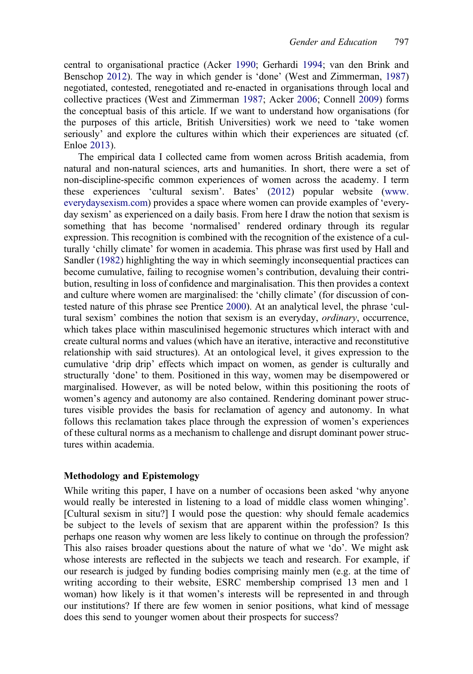central to organisational practice (Acker [1990;](#page-14-0) Gerhardi [1994;](#page-15-0) van den Brink and Benschop [2012](#page-14-0)). The way in which gender is 'done' (West and Zimmerman, [1987](#page-16-0)) negotiated, contested, renegotiated and re-enacted in organisations through local and collective practices (West and Zimmerman [1987](#page-16-0); Acker [2006;](#page-14-0) Connell [2009](#page-14-0)) forms the conceptual basis of this article. If we want to understand how organisations (for the purposes of this article, British Universities) work we need to 'take women seriously' and explore the cultures within which their experiences are situated (cf. Enloe [2013\)](#page-15-0).

The empirical data I collected came from women across British academia, from natural and non-natural sciences, arts and humanities. In short, there were a set of non-discipline-specific common experiences of women across the academy. I term these experiences 'cultural sexism'. Bates' ([2012](#page-14-0)) popular website [\(www.](http://www.everydaysexism.com) [everydaysexism.com](http://www.everydaysexism.com)) provides a space where women can provide examples of 'everyday sexism' as experienced on a daily basis. From here I draw the notion that sexism is something that has become 'normalised' rendered ordinary through its regular expression. This recognition is combined with the recognition of the existence of a culturally 'chilly climate' for women in academia. This phrase was first used by Hall and Sandler [\(1982](#page-15-0)) highlighting the way in which seemingly inconsequential practices can become cumulative, failing to recognise women's contribution, devaluing their contribution, resulting in loss of confidence and marginalisation. This then provides a context and culture where women are marginalised: the 'chilly climate' (for discussion of contested nature of this phrase see Prentice [2000\)](#page-16-0). At an analytical level, the phrase 'cultural sexism' combines the notion that sexism is an everyday, *ordinary*, occurrence, which takes place within masculinised hegemonic structures which interact with and create cultural norms and values (which have an iterative, interactive and reconstitutive relationship with said structures). At an ontological level, it gives expression to the cumulative 'drip drip' effects which impact on women, as gender is culturally and structurally 'done' to them. Positioned in this way, women may be disempowered or marginalised. However, as will be noted below, within this positioning the roots of women's agency and autonomy are also contained. Rendering dominant power structures visible provides the basis for reclamation of agency and autonomy. In what follows this reclamation takes place through the expression of women's experiences of these cultural norms as a mechanism to challenge and disrupt dominant power structures within academia.

#### Methodology and Epistemology

While writing this paper, I have on a number of occasions been asked 'why anyone would really be interested in listening to a load of middle class women whinging'. [Cultural sexism in situ?] I would pose the question: why should female academics be subject to the levels of sexism that are apparent within the profession? Is this perhaps one reason why women are less likely to continue on through the profession? This also raises broader questions about the nature of what we 'do'. We might ask whose interests are reflected in the subjects we teach and research. For example, if our research is judged by funding bodies comprising mainly men (e.g. at the time of writing according to their website, ESRC membership comprised 13 men and 1 woman) how likely is it that women's interests will be represented in and through our institutions? If there are few women in senior positions, what kind of message does this send to younger women about their prospects for success?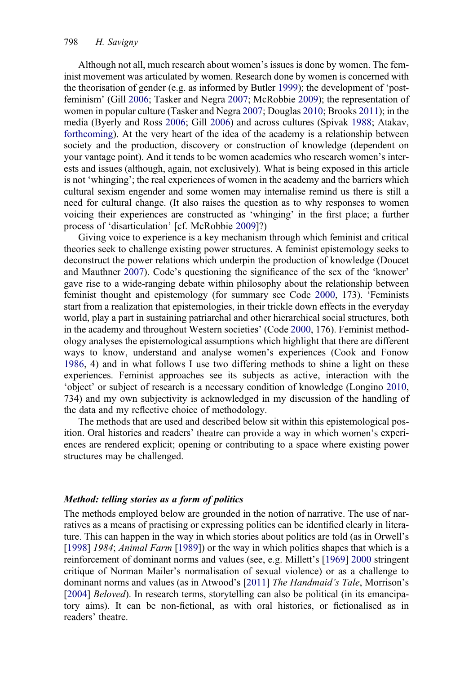Although not all, much research about women's issues is done by women. The feminist movement was articulated by women. Research done by women is concerned with the theorisation of gender (e.g. as informed by Butler [1999\)](#page-14-0); the development of 'postfeminism' (Gill [2006](#page-15-0); Tasker and Negra [2007;](#page-16-0) McRobbie [2009](#page-15-0)); the representation of women in popular culture (Tasker and Negra [2007](#page-16-0); Douglas [2010;](#page-15-0) Brooks [2011](#page-14-0)); in the media (Byerly and Ross [2006;](#page-14-0) Gill [2006](#page-15-0)) and across cultures (Spivak [1988;](#page-16-0) Atakav, [forthcoming\)](#page-14-0). At the very heart of the idea of the academy is a relationship between society and the production, discovery or construction of knowledge (dependent on your vantage point). And it tends to be women academics who research women's interests and issues (although, again, not exclusively). What is being exposed in this article is not 'whinging'; the real experiences of women in the academy and the barriers which cultural sexism engender and some women may internalise remind us there is still a need for cultural change. (It also raises the question as to why responses to women voicing their experiences are constructed as 'whinging' in the first place; a further process of 'disarticulation' [cf. McRobbie [2009\]](#page-15-0)?)

Giving voice to experience is a key mechanism through which feminist and critical theories seek to challenge existing power structures. A feminist epistemology seeks to deconstruct the power relations which underpin the production of knowledge (Doucet and Mauthner [2007](#page-14-0)). Code's questioning the significance of the sex of the 'knower' gave rise to a wide-ranging debate within philosophy about the relationship between feminist thought and epistemology (for summary see Code [2000,](#page-14-0) 173). 'Feminists start from a realization that epistemologies, in their trickle down effects in the everyday world, play a part in sustaining patriarchal and other hierarchical social structures, both in the academy and throughout Western societies' (Code [2000](#page-14-0), 176). Feminist methodology analyses the epistemological assumptions which highlight that there are different ways to know, understand and analyse women's experiences (Cook and Fonow [1986,](#page-14-0) 4) and in what follows I use two differing methods to shine a light on these experiences. Feminist approaches see its subjects as active, interaction with the 'object' or subject of research is a necessary condition of knowledge (Longino [2010](#page-15-0), 734) and my own subjectivity is acknowledged in my discussion of the handling of the data and my reflective choice of methodology.

The methods that are used and described below sit within this epistemological position. Oral histories and readers' theatre can provide a way in which women's experiences are rendered explicit; opening or contributing to a space where existing power structures may be challenged.

#### Method: telling stories as a form of politics

The methods employed below are grounded in the notion of narrative. The use of narratives as a means of practising or expressing politics can be identified clearly in literature. This can happen in the way in which stories about politics are told (as in Orwell's [[1998\]](#page-15-0) 1984; Animal Farm [[1989\]](#page-15-0)) or the way in which politics shapes that which is a reinforcement of dominant norms and values (see, e.g. Millett's [\[1969](#page-15-0)] [2000](#page-15-0) stringent critique of Norman Mailer's normalisation of sexual violence) or as a challenge to dominant norms and values (as in Atwood's [\[2011](#page-14-0)] The Handmaid's Tale, Morrison's [[2004\]](#page-15-0) Beloved). In research terms, storytelling can also be political (in its emancipatory aims). It can be non-fictional, as with oral histories, or fictionalised as in readers' theatre.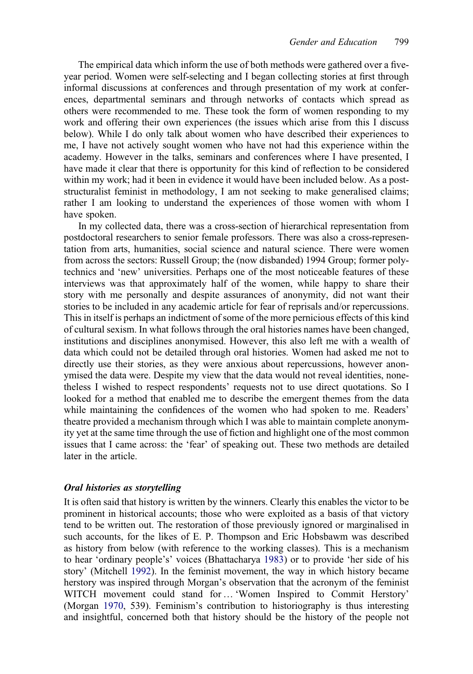The empirical data which inform the use of both methods were gathered over a fiveyear period. Women were self-selecting and I began collecting stories at first through informal discussions at conferences and through presentation of my work at conferences, departmental seminars and through networks of contacts which spread as others were recommended to me. These took the form of women responding to my work and offering their own experiences (the issues which arise from this I discuss below). While I do only talk about women who have described their experiences to me, I have not actively sought women who have not had this experience within the academy. However in the talks, seminars and conferences where I have presented, I have made it clear that there is opportunity for this kind of reflection to be considered within my work; had it been in evidence it would have been included below. As a poststructuralist feminist in methodology, I am not seeking to make generalised claims; rather I am looking to understand the experiences of those women with whom I have spoken.

In my collected data, there was a cross-section of hierarchical representation from postdoctoral researchers to senior female professors. There was also a cross-representation from arts, humanities, social science and natural science. There were women from across the sectors: Russell Group; the (now disbanded) 1994 Group; former polytechnics and 'new' universities. Perhaps one of the most noticeable features of these interviews was that approximately half of the women, while happy to share their story with me personally and despite assurances of anonymity, did not want their stories to be included in any academic article for fear of reprisals and/or repercussions. This in itself is perhaps an indictment of some of the more pernicious effects of this kind of cultural sexism. In what follows through the oral histories names have been changed, institutions and disciplines anonymised. However, this also left me with a wealth of data which could not be detailed through oral histories. Women had asked me not to directly use their stories, as they were anxious about repercussions, however anonymised the data were. Despite my view that the data would not reveal identities, nonetheless I wished to respect respondents' requests not to use direct quotations. So I looked for a method that enabled me to describe the emergent themes from the data while maintaining the confidences of the women who had spoken to me. Readers' theatre provided a mechanism through which I was able to maintain complete anonymity yet at the same time through the use of fiction and highlight one of the most common issues that I came across: the 'fear' of speaking out. These two methods are detailed later in the article.

#### Oral histories as storytelling

It is often said that history is written by the winners. Clearly this enables the victor to be prominent in historical accounts; those who were exploited as a basis of that victory tend to be written out. The restoration of those previously ignored or marginalised in such accounts, for the likes of E. P. Thompson and Eric Hobsbawm was described as history from below (with reference to the working classes). This is a mechanism to hear 'ordinary people's' voices (Bhattacharya [1983](#page-14-0)) or to provide 'her side of his story' (Mitchell [1992\)](#page-15-0). In the feminist movement, the way in which history became herstory was inspired through Morgan's observation that the acronym of the feminist WITCH movement could stand for … 'Women Inspired to Commit Herstory' (Morgan [1970,](#page-15-0) 539). Feminism's contribution to historiography is thus interesting and insightful, concerned both that history should be the history of the people not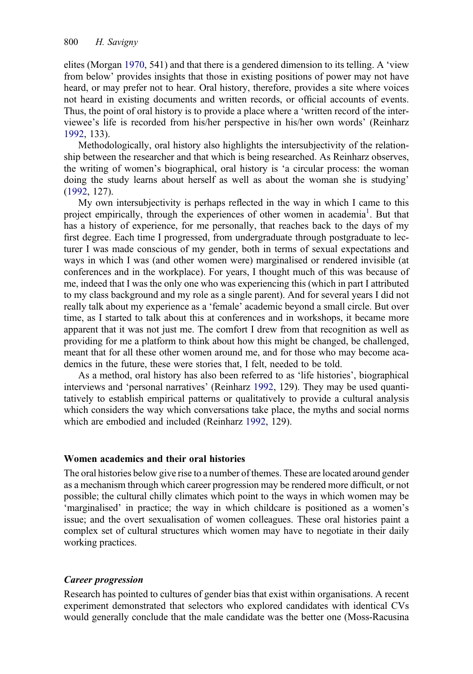elites (Morgan [1970,](#page-15-0) 541) and that there is a gendered dimension to its telling. A 'view from below' provides insights that those in existing positions of power may not have heard, or may prefer not to hear. Oral history, therefore, provides a site where voices not heard in existing documents and written records, or official accounts of events. Thus, the point of oral history is to provide a place where a 'written record of the interviewee's life is recorded from his/her perspective in his/her own words' (Reinharz [1992,](#page-16-0) 133).

Methodologically, oral history also highlights the intersubjectivity of the relationship between the researcher and that which is being researched. As Reinharz observes, the writing of women's biographical, oral history is 'a circular process: the woman doing the study learns about herself as well as about the woman she is studying' [\(1992,](#page-16-0) 127).

My own intersubjectivity is perhaps reflected in the way in which I came to this project empirically, through the experiences of other women in academia<sup>[1](#page-13-0)</sup>. But that has a history of experience, for me personally, that reaches back to the days of my first degree. Each time I progressed, from undergraduate through postgraduate to lecturer I was made conscious of my gender, both in terms of sexual expectations and ways in which I was (and other women were) marginalised or rendered invisible (at conferences and in the workplace). For years, I thought much of this was because of me, indeed that I was the only one who was experiencing this (which in part I attributed to my class background and my role as a single parent). And for several years I did not really talk about my experience as a 'female' academic beyond a small circle. But over time, as I started to talk about this at conferences and in workshops, it became more apparent that it was not just me. The comfort I drew from that recognition as well as providing for me a platform to think about how this might be changed, be challenged, meant that for all these other women around me, and for those who may become academics in the future, these were stories that, I felt, needed to be told.

As a method, oral history has also been referred to as 'life histories', biographical interviews and 'personal narratives' (Reinharz [1992](#page-16-0), 129). They may be used quantitatively to establish empirical patterns or qualitatively to provide a cultural analysis which considers the way which conversations take place, the myths and social norms which are embodied and included (Reinharz [1992](#page-16-0), 129).

# Women academics and their oral histories

The oral histories below give rise to a number of themes. These are located around gender as a mechanism through which career progression may be rendered more difficult, or not possible; the cultural chilly climates which point to the ways in which women may be 'marginalised' in practice; the way in which childcare is positioned as a women's issue; and the overt sexualisation of women colleagues. These oral histories paint a complex set of cultural structures which women may have to negotiate in their daily working practices.

### Career progression

Research has pointed to cultures of gender bias that exist within organisations. A recent experiment demonstrated that selectors who explored candidates with identical CVs would generally conclude that the male candidate was the better one (Moss-Racusina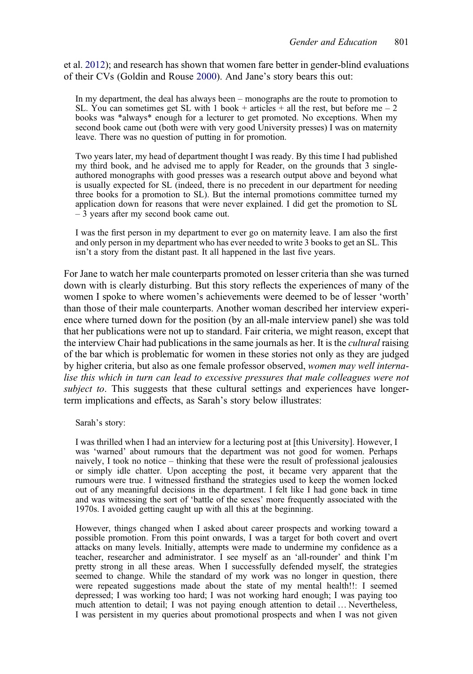et al. [2012\)](#page-15-0); and research has shown that women fare better in gender-blind evaluations of their CVs (Goldin and Rouse [2000\)](#page-15-0). And Jane's story bears this out:

In my department, the deal has always been – monographs are the route to promotion to SL. You can sometimes get SL with 1 book + articles + all the rest, but before me  $-2$ books was \*always\* enough for a lecturer to get promoted. No exceptions. When my second book came out (both were with very good University presses) I was on maternity leave. There was no question of putting in for promotion.

Two years later, my head of department thought I was ready. By this time I had published my third book, and he advised me to apply for Reader, on the grounds that 3 singleauthored monographs with good presses was a research output above and beyond what is usually expected for SL (indeed, there is no precedent in our department for needing three books for a promotion to SL). But the internal promotions committee turned my application down for reasons that were never explained. I did get the promotion to SL – 3 years after my second book came out.

I was the first person in my department to ever go on maternity leave. I am also the first and only person in my department who has ever needed to write 3 books to get an SL. This isn't a story from the distant past. It all happened in the last five years.

For Jane to watch her male counterparts promoted on lesser criteria than she was turned down with is clearly disturbing. But this story reflects the experiences of many of the women I spoke to where women's achievements were deemed to be of lesser 'worth' than those of their male counterparts. Another woman described her interview experience where turned down for the position (by an all-male interview panel) she was told that her publications were not up to standard. Fair criteria, we might reason, except that the interview Chair had publications in the same journals as her. It is the *cultural* raising of the bar which is problematic for women in these stories not only as they are judged by higher criteria, but also as one female professor observed, women may well internalise this which in turn can lead to excessive pressures that male colleagues were not subject to. This suggests that these cultural settings and experiences have longerterm implications and effects, as Sarah's story below illustrates:

#### Sarah's story:

I was thrilled when I had an interview for a lecturing post at [this University]. However, I was 'warned' about rumours that the department was not good for women. Perhaps naively, I took no notice – thinking that these were the result of professional jealousies or simply idle chatter. Upon accepting the post, it became very apparent that the rumours were true. I witnessed firsthand the strategies used to keep the women locked out of any meaningful decisions in the department. I felt like I had gone back in time and was witnessing the sort of 'battle of the sexes' more frequently associated with the 1970s. I avoided getting caught up with all this at the beginning.

However, things changed when I asked about career prospects and working toward a possible promotion. From this point onwards, I was a target for both covert and overt attacks on many levels. Initially, attempts were made to undermine my confidence as a teacher, researcher and administrator. I see myself as an 'all-rounder' and think I'm pretty strong in all these areas. When I successfully defended myself, the strategies seemed to change. While the standard of my work was no longer in question, there were repeated suggestions made about the state of my mental health!!: I seemed depressed; I was working too hard; I was not working hard enough; I was paying too much attention to detail; I was not paying enough attention to detail … Nevertheless, I was persistent in my queries about promotional prospects and when I was not given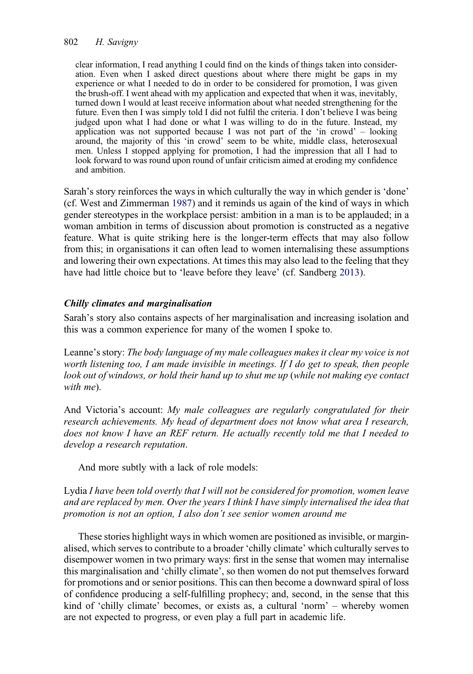# 802 H. Savigny

clear information, I read anything I could find on the kinds of things taken into consideration. Even when I asked direct questions about where there might be gaps in my experience or what I needed to do in order to be considered for promotion, I was given the brush-off. I went ahead with my application and expected that when it was, inevitably, turned down I would at least receive information about what needed strengthening for the future. Even then I was simply told I did not fulfil the criteria. I don't believe I was being judged upon what I had done or what I was willing to do in the future. Instead, my application was not supported because I was not part of the 'in crowd' – looking around, the majority of this 'in crowd' seem to be white, middle class, heterosexual men. Unless I stopped applying for promotion, I had the impression that all I had to look forward to was round upon round of unfair criticism aimed at eroding my confidence and ambition.

Sarah's story reinforces the ways in which culturally the way in which gender is 'done' (cf. West and Zimmerman [1987](#page-16-0)) and it reminds us again of the kind of ways in which gender stereotypes in the workplace persist: ambition in a man is to be applauded; in a woman ambition in terms of discussion about promotion is constructed as a negative feature. What is quite striking here is the longer-term effects that may also follow from this; in organisations it can often lead to women internalising these assumptions and lowering their own expectations. At times this may also lead to the feeling that they have had little choice but to 'leave before they leave' (cf. Sandberg [2013](#page-16-0)).

# Chilly climates and marginalisation

Sarah's story also contains aspects of her marginalisation and increasing isolation and this was a common experience for many of the women I spoke to.

Leanne's story: The body language of my male colleagues makes it clear my voice is not worth listening too, I am made invisible in meetings. If I do get to speak, then people look out of windows, or hold their hand up to shut me up (while not making eye contact with me).

And Victoria's account: My male colleagues are regularly congratulated for their research achievements. My head of department does not know what area I research, does not know I have an REF return. He actually recently told me that I needed to develop a research reputation.

And more subtly with a lack of role models:

Lydia I have been told overtly that I will not be considered for promotion, women leave and are replaced by men. Over the years I think I have simply internalised the idea that promotion is not an option, I also don't see senior women around me

These stories highlight ways in which women are positioned as invisible, or marginalised, which serves to contribute to a broader 'chilly climate' which culturally serves to disempower women in two primary ways: first in the sense that women may internalise this marginalisation and 'chilly climate', so then women do not put themselves forward for promotions and or senior positions. This can then become a downward spiral of loss of confidence producing a self-fulfilling prophecy; and, second, in the sense that this kind of 'chilly climate' becomes, or exists as, a cultural 'norm' – whereby women are not expected to progress, or even play a full part in academic life.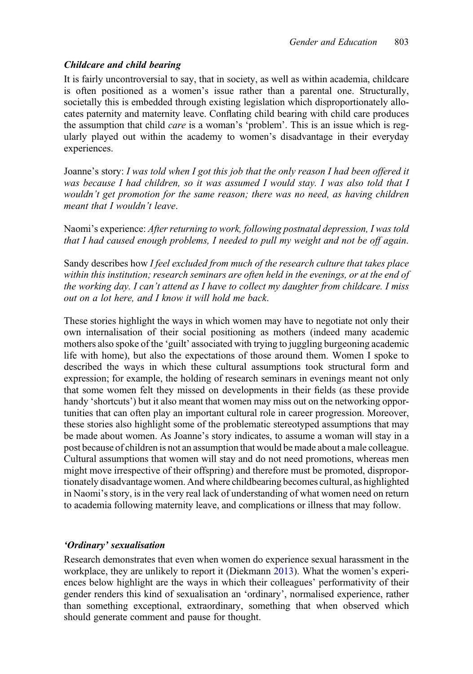# Childcare and child bearing

It is fairly uncontroversial to say, that in society, as well as within academia, childcare is often positioned as a women's issue rather than a parental one. Structurally, societally this is embedded through existing legislation which disproportionately allocates paternity and maternity leave. Conflating child bearing with child care produces the assumption that child *care* is a woman's 'problem'. This is an issue which is regularly played out within the academy to women's disadvantage in their everyday experiences.

Joanne's story: I was told when I got this job that the only reason I had been offered it was because I had children, so it was assumed I would stay. I was also told that I wouldn't get promotion for the same reason; there was no need, as having children meant that I wouldn't leave.

Naomi's experience: After returning to work, following postnatal depression, I was told that I had caused enough problems, I needed to pull my weight and not be off again.

Sandy describes how I feel excluded from much of the research culture that takes place within this institution; research seminars are often held in the evenings, or at the end of the working day. I can't attend as I have to collect my daughter from childcare. I miss out on a lot here, and I know it will hold me back.

These stories highlight the ways in which women may have to negotiate not only their own internalisation of their social positioning as mothers (indeed many academic mothers also spoke of the 'guilt' associated with trying to juggling burgeoning academic life with home), but also the expectations of those around them. Women I spoke to described the ways in which these cultural assumptions took structural form and expression; for example, the holding of research seminars in evenings meant not only that some women felt they missed on developments in their fields (as these provide handy 'shortcuts') but it also meant that women may miss out on the networking opportunities that can often play an important cultural role in career progression. Moreover, these stories also highlight some of the problematic stereotyped assumptions that may be made about women. As Joanne's story indicates, to assume a woman will stay in a post because of children is not an assumption that would be made about a male colleague. Cultural assumptions that women will stay and do not need promotions, whereas men might move irrespective of their offspring) and therefore must be promoted, disproportionately disadvantage women. And where childbearing becomes cultural, as highlighted in Naomi's story, is in the very real lack of understanding of what women need on return to academia following maternity leave, and complications or illness that may follow.

# 'Ordinary' sexualisation

Research demonstrates that even when women do experience sexual harassment in the workplace, they are unlikely to report it (Diekmann [2013](#page-14-0)). What the women's experiences below highlight are the ways in which their colleagues' performativity of their gender renders this kind of sexualisation an 'ordinary', normalised experience, rather than something exceptional, extraordinary, something that when observed which should generate comment and pause for thought.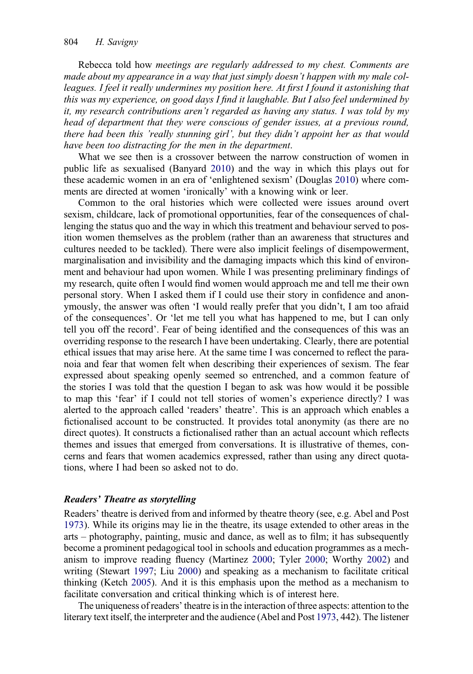Rebecca told how meetings are regularly addressed to my chest. Comments are made about my appearance in a way that just simply doesn't happen with my male colleagues. I feel it really undermines my position here. At first I found it astonishing that this was my experience, on good days I find it laughable. But I also feel undermined by it, my research contributions aren't regarded as having any status. I was told by my head of department that they were conscious of gender issues, at a previous round, there had been this 'really stunning girl', but they didn't appoint her as that would have been too distracting for the men in the department.

What we see then is a crossover between the narrow construction of women in public life as sexualised (Banyard [2010\)](#page-14-0) and the way in which this plays out for these academic women in an era of 'enlightened sexism' (Douglas [2010](#page-15-0)) where comments are directed at women 'ironically' with a knowing wink or leer.

Common to the oral histories which were collected were issues around overt sexism, childcare, lack of promotional opportunities, fear of the consequences of challenging the status quo and the way in which this treatment and behaviour served to position women themselves as the problem (rather than an awareness that structures and cultures needed to be tackled). There were also implicit feelings of disempowerment, marginalisation and invisibility and the damaging impacts which this kind of environment and behaviour had upon women. While I was presenting preliminary findings of my research, quite often I would find women would approach me and tell me their own personal story. When I asked them if I could use their story in confidence and anonymously, the answer was often 'I would really prefer that you didn't, I am too afraid of the consequences'. Or 'let me tell you what has happened to me, but I can only tell you off the record'. Fear of being identified and the consequences of this was an overriding response to the research I have been undertaking. Clearly, there are potential ethical issues that may arise here. At the same time I was concerned to reflect the paranoia and fear that women felt when describing their experiences of sexism. The fear expressed about speaking openly seemed so entrenched, and a common feature of the stories I was told that the question I began to ask was how would it be possible to map this 'fear' if I could not tell stories of women's experience directly? I was alerted to the approach called 'readers' theatre'. This is an approach which enables a fictionalised account to be constructed. It provides total anonymity (as there are no direct quotes). It constructs a fictionalised rather than an actual account which reflects themes and issues that emerged from conversations. It is illustrative of themes, concerns and fears that women academics expressed, rather than using any direct quotations, where I had been so asked not to do.

#### Readers' Theatre as storytelling

Readers' theatre is derived from and informed by theatre theory (see, e.g. Abel and Post [1973\)](#page-14-0). While its origins may lie in the theatre, its usage extended to other areas in the arts – photography, painting, music and dance, as well as to film; it has subsequently become a prominent pedagogical tool in schools and education programmes as a mechanism to improve reading fluency (Martinez [2000](#page-15-0); Tyler [2000](#page-16-0); Worthy [2002\)](#page-16-0) and writing (Stewart [1997](#page-16-0); Liu [2000](#page-15-0)) and speaking as a mechanism to facilitate critical thinking (Ketch [2005\)](#page-15-0). And it is this emphasis upon the method as a mechanism to facilitate conversation and critical thinking which is of interest here.

The uniqueness of readers' theatre is in the interaction of three aspects: attention to the literary text itself, the interpreter and the audience (Abel and Post [1973,](#page-14-0) 442). The listener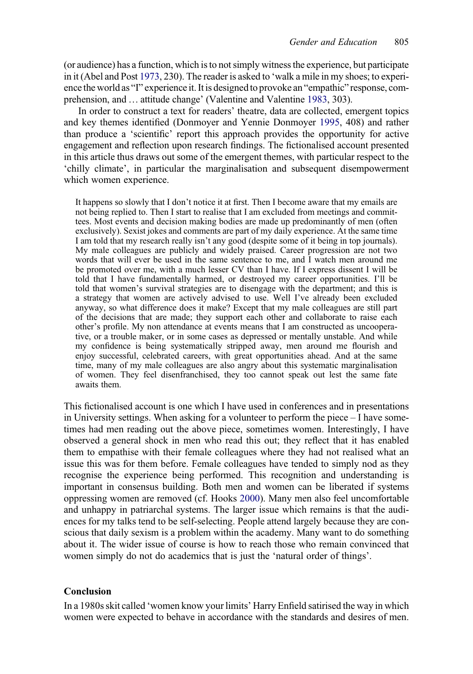(or audience) has a function, which is to not simply witness the experience, but participate in it (Abel and Post [1973](#page-14-0), 230). The reader is asked to 'walk a mile in my shoes; to experience the world as "I" experience it. It is designed to provoke an "empathic" response, comprehension, and … attitude change' (Valentine and Valentine [1983](#page-16-0), 303).

In order to construct a text for readers' theatre, data are collected, emergent topics and key themes identified (Donmoyer and Yennie Donmoyer [1995](#page-14-0), 408) and rather than produce a 'scientific' report this approach provides the opportunity for active engagement and reflection upon research findings. The fictionalised account presented in this article thus draws out some of the emergent themes, with particular respect to the 'chilly climate', in particular the marginalisation and subsequent disempowerment which women experience.

It happens so slowly that I don't notice it at first. Then I become aware that my emails are not being replied to. Then I start to realise that I am excluded from meetings and committees. Most events and decision making bodies are made up predominantly of men (often exclusively). Sexist jokes and comments are part of my daily experience. At the same time I am told that my research really isn't any good (despite some of it being in top journals). My male colleagues are publicly and widely praised. Career progression are not two words that will ever be used in the same sentence to me, and I watch men around me be promoted over me, with a much lesser CV than I have. If I express dissent I will be told that I have fundamentally harmed, or destroyed my career opportunities. I'll be told that women's survival strategies are to disengage with the department; and this is a strategy that women are actively advised to use. Well I've already been excluded anyway, so what difference does it make? Except that my male colleagues are still part of the decisions that are made; they support each other and collaborate to raise each other's profile. My non attendance at events means that I am constructed as uncooperative, or a trouble maker, or in some cases as depressed or mentally unstable. And while my confidence is being systematically stripped away, men around me flourish and enjoy successful, celebrated careers, with great opportunities ahead. And at the same time, many of my male colleagues are also angry about this systematic marginalisation of women. They feel disenfranchised, they too cannot speak out lest the same fate awaits them.

This fictionalised account is one which I have used in conferences and in presentations in University settings. When asking for a volunteer to perform the piece – I have sometimes had men reading out the above piece, sometimes women. Interestingly, I have observed a general shock in men who read this out; they reflect that it has enabled them to empathise with their female colleagues where they had not realised what an issue this was for them before. Female colleagues have tended to simply nod as they recognise the experience being performed. This recognition and understanding is important in consensus building. Both men and women can be liberated if systems oppressing women are removed (cf. Hooks [2000](#page-15-0)). Many men also feel uncomfortable and unhappy in patriarchal systems. The larger issue which remains is that the audiences for my talks tend to be self-selecting. People attend largely because they are conscious that daily sexism is a problem within the academy. Many want to do something about it. The wider issue of course is how to reach those who remain convinced that women simply do not do academics that is just the 'natural order of things'.

#### Conclusion

In a 1980s skit called 'women know your limits' Harry Enfield satirised the way in which women were expected to behave in accordance with the standards and desires of men.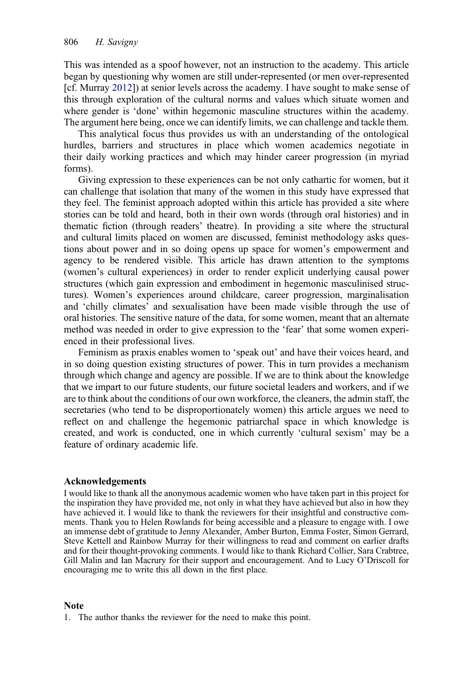<span id="page-13-0"></span>This was intended as a spoof however, not an instruction to the academy. This article began by questioning why women are still under-represented (or men over-represented [cf. Murray [2012\]](#page-15-0)) at senior levels across the academy. I have sought to make sense of this through exploration of the cultural norms and values which situate women and where gender is 'done' within hegemonic masculine structures within the academy. The argument here being, once we can identify limits, we can challenge and tackle them.

This analytical focus thus provides us with an understanding of the ontological hurdles, barriers and structures in place which women academics negotiate in their daily working practices and which may hinder career progression (in myriad forms).

Giving expression to these experiences can be not only cathartic for women, but it can challenge that isolation that many of the women in this study have expressed that they feel. The feminist approach adopted within this article has provided a site where stories can be told and heard, both in their own words (through oral histories) and in thematic fiction (through readers' theatre). In providing a site where the structural and cultural limits placed on women are discussed, feminist methodology asks questions about power and in so doing opens up space for women's empowerment and agency to be rendered visible. This article has drawn attention to the symptoms (women's cultural experiences) in order to render explicit underlying causal power structures (which gain expression and embodiment in hegemonic masculinised structures). Women's experiences around childcare, career progression, marginalisation and 'chilly climates' and sexualisation have been made visible through the use of oral histories. The sensitive nature of the data, for some women, meant that an alternate method was needed in order to give expression to the 'fear' that some women experienced in their professional lives.

Feminism as praxis enables women to 'speak out' and have their voices heard, and in so doing question existing structures of power. This in turn provides a mechanism through which change and agency are possible. If we are to think about the knowledge that we impart to our future students, our future societal leaders and workers, and if we are to think about the conditions of our own workforce, the cleaners, the admin staff, the secretaries (who tend to be disproportionately women) this article argues we need to reflect on and challenge the hegemonic patriarchal space in which knowledge is created, and work is conducted, one in which currently 'cultural sexism' may be a feature of ordinary academic life.

# Acknowledgements

I would like to thank all the anonymous academic women who have taken part in this project for the inspiration they have provided me, not only in what they have achieved but also in how they have achieved it. I would like to thank the reviewers for their insightful and constructive comments. Thank you to Helen Rowlands for being accessible and a pleasure to engage with. I owe an immense debt of gratitude to Jenny Alexander, Amber Burton, Emma Foster, Simon Gerrard, Steve Kettell and Rainbow Murray for their willingness to read and comment on earlier drafts and for their thought-provoking comments. I would like to thank Richard Collier, Sara Crabtree, Gill Malin and Ian Macrury for their support and encouragement. And to Lucy O'Driscoll for encouraging me to write this all down in the first place.

#### **Note**

1. The author thanks the reviewer for the need to make this point.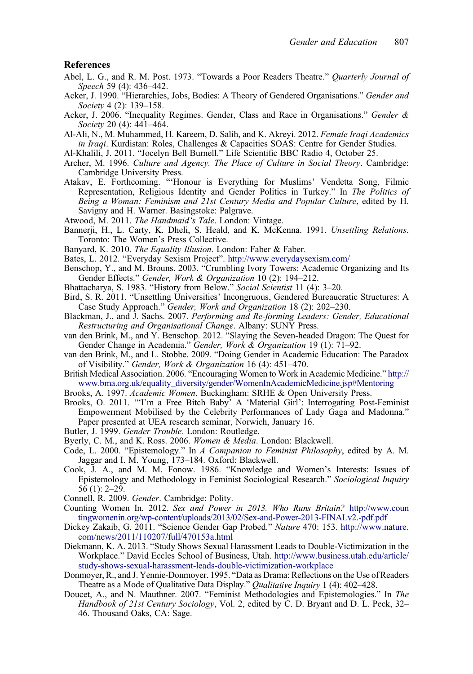#### <span id="page-14-0"></span>References

- Abel, L. G., and R. M. Post. 1973. "Towards a Poor Readers Theatre." *Ouarterly Journal of* Speech 59 (4): 436–442.
- Acker, J. 1990. "Hierarchies, Jobs, Bodies: A Theory of Gendered Organisations." Gender and Society 4 (2): 139–158.
- Acker, J. 2006. "Inequality Regimes. Gender, Class and Race in Organisations." Gender & Society 20 (4): 441–464.
- Al-Ali, N., M. Muhammed, H. Kareem, D. Salih, and K. Akreyi. 2012. Female Iraqi Academics in Iraqi. Kurdistan: Roles, Challenges & Capacities SOAS: Centre for Gender Studies.
- Al-Khalili, J. 2011. "Jocelyn Bell Burnell." Life Scientific BBC Radio 4, October 25.
- Archer, M. 1996. Culture and Agency. The Place of Culture in Social Theory. Cambridge: Cambridge University Press.
- Atakav, E. Forthcoming. "'Honour is Everything for Muslims' Vendetta Song, Filmic Representation, Religious Identity and Gender Politics in Turkey." In The Politics of Being a Woman: Feminism and 21st Century Media and Popular Culture, edited by H. Savigny and H. Warner. Basingstoke: Palgrave.
- Atwood, M. 2011. The Handmaid's Tale. London: Vintage.
- Bannerji, H., L. Carty, K. Dheli, S. Heald, and K. McKenna. 1991. Unsettling Relations. Toronto: The Women's Press Collective.
- Banyard, K. 2010. The Equality Illusion. London: Faber & Faber.
- Bates, L. 2012. "Everyday Sexism Project". <http://www.everydaysexism.com/>
- Benschop, Y., and M. Brouns. 2003. "Crumbling Ivory Towers: Academic Organizing and Its Gender Effects." Gender, Work & Organization 10 (2): 194-212.
- Bhattacharya, S. 1983. "History from Below." Social Scientist 11 (4): 3–20.
- Bird, S. R. 2011. "Unsettling Universities' Incongruous, Gendered Bureaucratic Structures: A Case Study Approach." Gender, Work and Organization 18 (2): 202–230.
- Blackman, J., and J. Sachs. 2007. Performing and Re-forming Leaders: Gender, Educational Restructuring and Organisational Change. Albany: SUNY Press.
- van den Brink, M., and Y. Benschop. 2012. "Slaying the Seven-headed Dragon: The Quest for Gender Change in Academia." Gender, Work & Organization 19 (1):  $7\overline{1}$ -92.
- van den Brink, M., and L. Stobbe. 2009. "Doing Gender in Academic Education: The Paradox of Visibility." Gender, Work & Organization 16 (4): 451–470.
- British Medical Association. 2006. "Encouraging Women to Work in Academic Medicine." [http://](http://www.bma.org.uk/equality_diversity/gender/WomenInAcademicMedicine.jsp#Mentoring) [www.bma.org.uk/equality\\_diversity/gender/WomenInAcademicMedicine.jsp#Mentoring](http://www.bma.org.uk/equality_diversity/gender/WomenInAcademicMedicine.jsp#Mentoring)
- Brooks, A. 1997. Academic Women. Buckingham: SRHE & Open University Press.
- Brooks, O. 2011. "T'm a Free Bitch Baby' A 'Material Girl': Interrogating Post-Feminist Empowerment Mobilised by the Celebrity Performances of Lady Gaga and Madonna." Paper presented at UEA research seminar, Norwich, January 16.
- Butler, J. 1999. Gender Trouble. London: Routledge.
- Byerly, C. M., and K. Ross. 2006. Women & Media. London: Blackwell.
- Code, L. 2000. "Epistemology." In A Companion to Feminist Philosophy, edited by A. M. Jaggar and I. M. Young, 173-184. Oxford: Blackwell.
- Cook, J. A., and M. M. Fonow. 1986. "Knowledge and Women's Interests: Issues of Epistemology and Methodology in Feminist Sociological Research." Sociological Inquiry 56 (1): 2–29.
- Connell, R. 2009. Gender. Cambridge: Polity.
- Counting Women In. 2012. Sex and Power in 2013. Who Runs Britain? [http://www.coun](http://www.countingwomenin.org/wp-content/uploads/2013/02/Sex-and-Power-2013-FINALv2.-pdf.pdf) [tingwomenin.org/wp-content/uploads/2013/02/Sex-and-Power-2013-FINALv2.-pdf.pdf](http://www.countingwomenin.org/wp-content/uploads/2013/02/Sex-and-Power-2013-FINALv2.-pdf.pdf)
- Dickey Zakaib, G. 2011. "Science Gender Gap Probed." Nature 470: 153. [http://www.nature.](http://www.nature.com/news/2011/110207/full/470153a.html) [com/news/2011/110207/full/470153a.html](http://www.nature.com/news/2011/110207/full/470153a.html)
- Diekmann, K. A. 2013. "Study Shows Sexual Harassment Leads to Double-Victimization in the Workplace." David Eccles School of Business, Utah. [http://www.business.utah.edu/article/](http://www.business.utah.edu/article/study-shows-sexual-harassment-leads-double-victimization-workplace) [study-shows-sexual-harassment-leads-double-victimization-workplace](http://www.business.utah.edu/article/study-shows-sexual-harassment-leads-double-victimization-workplace)
- Donmoyer, R., and J. Yennie-Donmoyer. 1995. "Data as Drama: Reflections on the Use of Readers Theatre as a Mode of Qualitative Data Display." Qualitative Inquiry 1 (4): 402–428.
- Doucet, A., and N. Mauthner. 2007. "Feminist Methodologies and Epistemologies." In The Handbook of 21st Century Sociology, Vol. 2, edited by C. D. Bryant and D. L. Peck, 32– 46. Thousand Oaks, CA: Sage.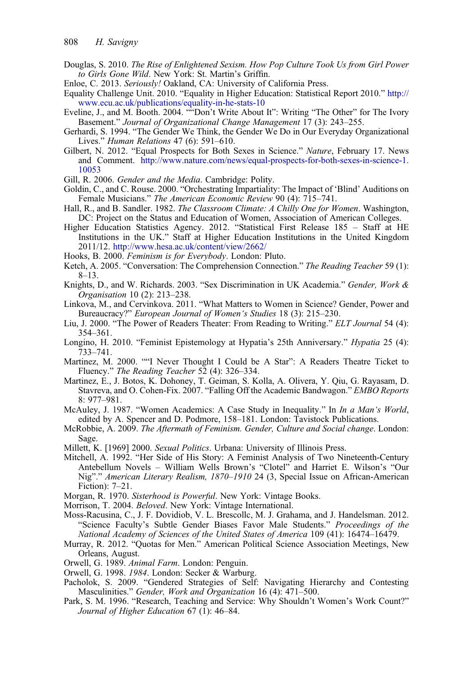- <span id="page-15-0"></span>Douglas, S. 2010. The Rise of Enlightened Sexism. How Pop Culture Took Us from Girl Power to Girls Gone Wild. New York: St. Martin's Griffin.
- Enloe, C. 2013. Seriously! Oakland, CA: University of California Press.
- Equality Challenge Unit. 2010. "Equality in Higher Education: Statistical Report 2010." [http://](http://www.ecu.ac.uk/publications/equality-in-he-stats-10) [www.ecu.ac.uk/publications/equality-in-he-stats-10](http://www.ecu.ac.uk/publications/equality-in-he-stats-10)
- Eveline, J., and M. Booth. 2004. ""Don't Write About It": Writing "The Other" for The Ivory Basement." Journal of Organizational Change Management 17 (3): 243–255.
- Gerhardi, S. 1994. "The Gender We Think, the Gender We Do in Our Everyday Organizational Lives." Human Relations 47 (6): 591–610.
- Gilbert, N. 2012. "Equal Prospects for Both Sexes in Science." Nature, February 17. News and Comment. [http://www.nature.com/news/equal-prospects-for-both-sexes-in-science-1.](http://www.nature.com/news/equal-prospects-for-both-sexes-in-science-1.10053) [10053](http://www.nature.com/news/equal-prospects-for-both-sexes-in-science-1.10053)
- Gill, R. 2006. Gender and the Media. Cambridge: Polity.
- Goldin, C., and C. Rouse. 2000. "Orchestrating Impartiality: The Impact of 'Blind' Auditions on Female Musicians." The American Economic Review 90 (4): 715–741.
- Hall, R., and B. Sandler. 1982. The Classroom Climate: A Chilly One for Women. Washington, DC: Project on the Status and Education of Women, Association of American Colleges.
- Higher Education Statistics Agency. 2012. "Statistical First Release 185 Staff at HE Institutions in the UK." Staff at Higher Education Institutions in the United Kingdom 2011/12. <http://www.hesa.ac.uk/content/view/2662/>
- Hooks, B. 2000. Feminism is for Everybody. London: Pluto.
- Ketch, A. 2005. "Conversation: The Comprehension Connection." The Reading Teacher 59 (1): 8–13.
- Knights, D., and W. Richards. 2003. "Sex Discrimination in UK Academia." Gender, Work & Organisation 10 (2): 213–238.
- Linkova, M., and Cervinkova. 2011. "What Matters to Women in Science? Gender, Power and Bureaucracy?" European Journal of Women's Studies 18 (3): 215–230.
- Liu, J. 2000. "The Power of Readers Theater: From Reading to Writing." *ELT Journal* 54 (4): 354–361.
- Longino, H. 2010. "Feminist Epistemology at Hypatia's 25th Anniversary." Hypatia 25 (4): 733–741.
- Martinez, M. 2000. ""I Never Thought I Could be A Star": A Readers Theatre Ticket to Fluency." The Reading Teacher 52 (4): 326–334.
- Martinez, E., J. Botos, K. Dohoney, T. Geiman, S. Kolla, A. Olivera, Y. Qiu, G. Rayasam, D. Stavreva, and O. Cohen-Fix. 2007. "Falling Off the Academic Bandwagon." EMBO Reports 8: 977–981.
- McAuley, J. 1987. "Women Academics: A Case Study in Inequality." In In a Man's World, edited by A. Spencer and D. Podmore, 158–181. London: Tavistock Publications.
- McRobbie, A. 2009. The Aftermath of Feminism. Gender, Culture and Social change. London: Sage.
- Millett, K. [1969] 2000. Sexual Politics. Urbana: University of Illinois Press.
- Mitchell, A. 1992. "Her Side of His Story: A Feminist Analysis of Two Nineteenth-Century Antebellum Novels – William Wells Brown's "Clotel" and Harriet E. Wilson's "Our Nig"." American Literary Realism, 1870–1910 24 (3, Special Issue on African-American Fiction): 7–21.
- Morgan, R. 1970. Sisterhood is Powerful. New York: Vintage Books.
- Morrison, T. 2004. Beloved. New York: Vintage International.
- Moss-Racusina, C., J. F. Dovidiob, V. L. Brescollc, M. J. Grahama, and J. Handelsman. 2012. "Science Faculty's Subtle Gender Biases Favor Male Students." Proceedings of the National Academy of Sciences of the United States of America 109 (41): 16474–16479.
- Murray, R. 2012. "Quotas for Men." American Political Science Association Meetings, New Orleans, August.
- Orwell, G. 1989. Animal Farm. London: Penguin.
- Orwell, G. 1998. 1984. London: Secker & Warburg.
- Pacholok, S. 2009. "Gendered Strategies of Self: Navigating Hierarchy and Contesting Masculinities." Gender, Work and Organization 16 (4): 471-500.
- Park, S. M. 1996. "Research, Teaching and Service: Why Shouldn't Women's Work Count?" Journal of Higher Education 67 (1): 46–84.